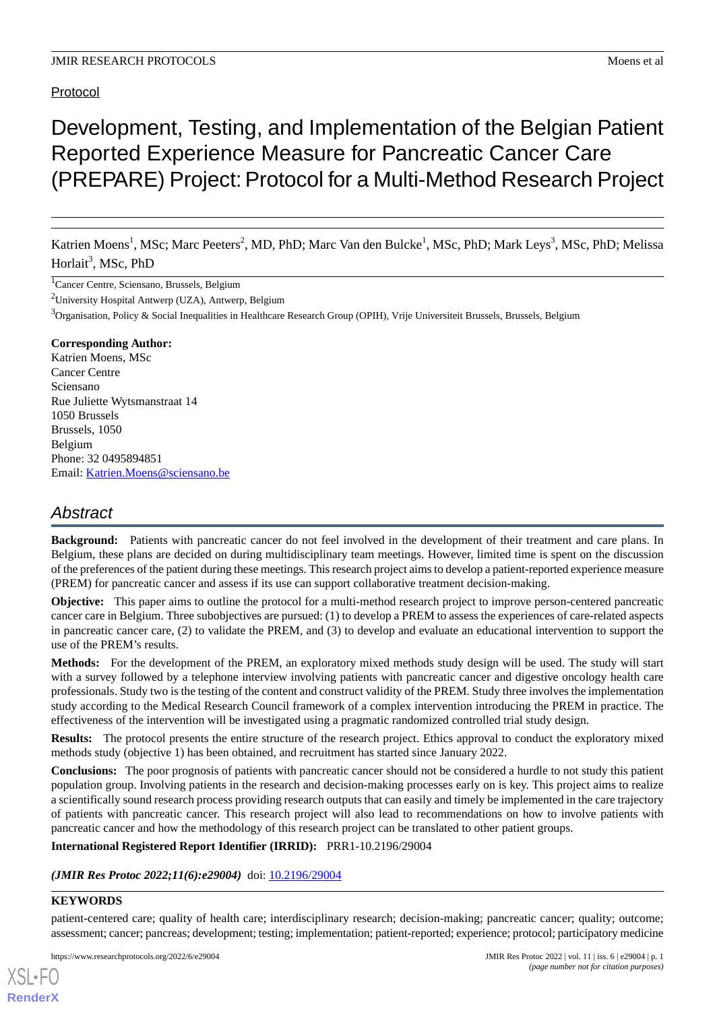# Protocol

# Development, Testing, and Implementation of the Belgian Patient Reported Experience Measure for Pancreatic Cancer Care (PREPARE) Project: Protocol for a Multi-Method Research Project

Katrien Moens<sup>1</sup>, MSc; Marc Peeters<sup>2</sup>, MD, PhD; Marc Van den Bulcke<sup>1</sup>, MSc, PhD; Mark Leys<sup>3</sup>, MSc, PhD; Melissa Horlait<sup>3</sup>, MSc, PhD

<sup>1</sup>Cancer Centre, Sciensano, Brussels, Belgium

<sup>2</sup>University Hospital Antwerp (UZA), Antwerp, Belgium

<sup>3</sup>Organisation, Policy & Social Inequalities in Healthcare Research Group (OPIH), Vrije Universiteit Brussels, Brussels, Belgium

#### **Corresponding Author:**

Katrien Moens, MSc Cancer Centre Sciensano Rue Juliette Wytsmanstraat 14 1050 Brussels Brussels, 1050 Belgium Phone: 32 0495894851 Email: [Katrien.Moens@sciensano.be](mailto:Katrien.Moens@sciensano.be)

# *Abstract*

**Background:** Patients with pancreatic cancer do not feel involved in the development of their treatment and care plans. In Belgium, these plans are decided on during multidisciplinary team meetings. However, limited time is spent on the discussion of the preferences of the patient during these meetings. This research project aims to develop a patient-reported experience measure (PREM) for pancreatic cancer and assess if its use can support collaborative treatment decision-making.

**Objective:** This paper aims to outline the protocol for a multi-method research project to improve person-centered pancreatic cancer care in Belgium. Three subobjectives are pursued: (1) to develop a PREM to assess the experiences of care-related aspects in pancreatic cancer care, (2) to validate the PREM, and (3) to develop and evaluate an educational intervention to support the use of the PREM's results.

**Methods:** For the development of the PREM, an exploratory mixed methods study design will be used. The study will start with a survey followed by a telephone interview involving patients with pancreatic cancer and digestive oncology health care professionals. Study two is the testing of the content and construct validity of the PREM. Study three involves the implementation study according to the Medical Research Council framework of a complex intervention introducing the PREM in practice. The effectiveness of the intervention will be investigated using a pragmatic randomized controlled trial study design.

**Results:** The protocol presents the entire structure of the research project. Ethics approval to conduct the exploratory mixed methods study (objective 1) has been obtained, and recruitment has started since January 2022.

**Conclusions:** The poor prognosis of patients with pancreatic cancer should not be considered a hurdle to not study this patient population group. Involving patients in the research and decision-making processes early on is key. This project aims to realize a scientifically sound research process providing research outputs that can easily and timely be implemented in the care trajectory of patients with pancreatic cancer. This research project will also lead to recommendations on how to involve patients with pancreatic cancer and how the methodology of this research project can be translated to other patient groups.

#### **International Registered Report Identifier (IRRID):** PRR1-10.2196/29004

*(JMIR Res Protoc 2022;11(6):e29004)* doi: [10.2196/29004](http://dx.doi.org/10.2196/29004)

# **KEYWORDS**

[XSL](http://www.w3.org/Style/XSL)•FO **[RenderX](http://www.renderx.com/)**

patient-centered care; quality of health care; interdisciplinary research; decision-making; pancreatic cancer; quality; outcome; assessment; cancer; pancreas; development; testing; implementation; patient-reported; experience; protocol; participatory medicine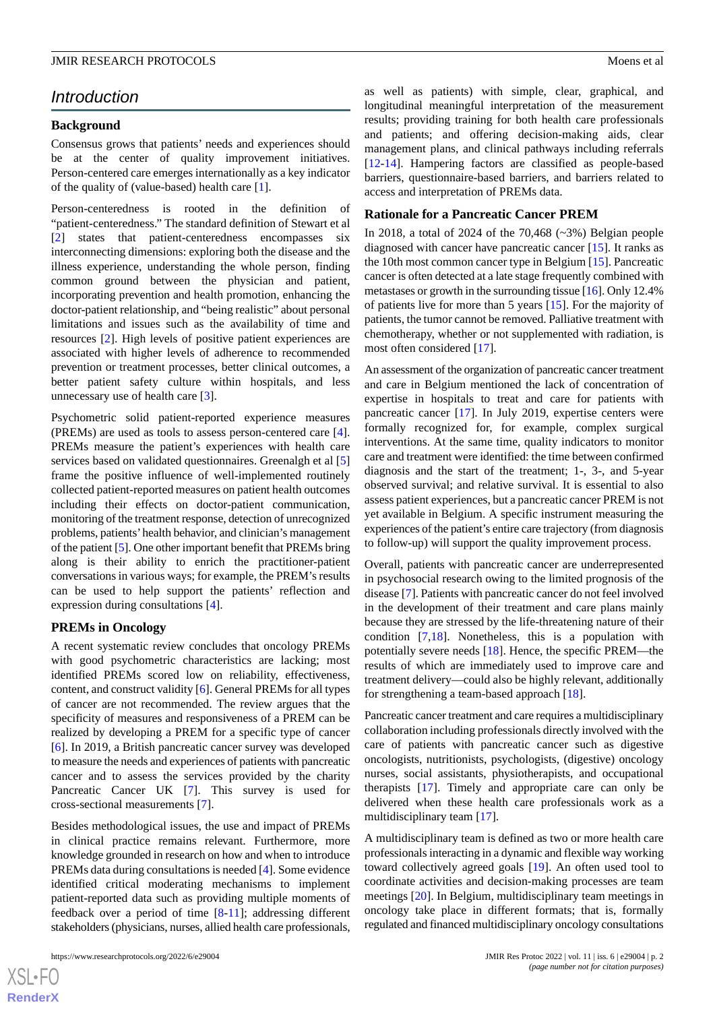# *Introduction*

# **Background**

Consensus grows that patients' needs and experiences should be at the center of quality improvement initiatives. Person-centered care emerges internationally as a key indicator of the quality of (value-based) health care [\[1](#page-5-0)].

Person-centeredness is rooted in the definition of "patient-centeredness." The standard definition of Stewart et al [[2\]](#page-5-1) states that patient-centeredness encompasses six interconnecting dimensions: exploring both the disease and the illness experience, understanding the whole person, finding common ground between the physician and patient, incorporating prevention and health promotion, enhancing the doctor-patient relationship, and "being realistic" about personal limitations and issues such as the availability of time and resources [\[2](#page-5-1)]. High levels of positive patient experiences are associated with higher levels of adherence to recommended prevention or treatment processes, better clinical outcomes, a better patient safety culture within hospitals, and less unnecessary use of health care [[3\]](#page-5-2).

Psychometric solid patient-reported experience measures (PREMs) are used as tools to assess person-centered care [[4\]](#page-5-3). PREMs measure the patient's experiences with health care services based on validated questionnaires. Greenalgh et al [\[5](#page-5-4)] frame the positive influence of well-implemented routinely collected patient-reported measures on patient health outcomes including their effects on doctor-patient communication, monitoring of the treatment response, detection of unrecognized problems, patients'health behavior, and clinician's management of the patient [[5\]](#page-5-4). One other important benefit that PREMs bring along is their ability to enrich the practitioner-patient conversations in various ways; for example, the PREM's results can be used to help support the patients' reflection and expression during consultations [[4\]](#page-5-3).

#### **PREMs in Oncology**

A recent systematic review concludes that oncology PREMs with good psychometric characteristics are lacking; most identified PREMs scored low on reliability, effectiveness, content, and construct validity [\[6](#page-5-5)]. General PREMs for all types of cancer are not recommended. The review argues that the specificity of measures and responsiveness of a PREM can be realized by developing a PREM for a specific type of cancer [[6\]](#page-5-5). In 2019, a British pancreatic cancer survey was developed to measure the needs and experiences of patients with pancreatic cancer and to assess the services provided by the charity Pancreatic Cancer UK [\[7](#page-5-6)]. This survey is used for cross-sectional measurements [[7](#page-5-6)].

Besides methodological issues, the use and impact of PREMs in clinical practice remains relevant. Furthermore, more knowledge grounded in research on how and when to introduce PREMs data during consultations is needed [[4\]](#page-5-3). Some evidence identified critical moderating mechanisms to implement patient-reported data such as providing multiple moments of feedback over a period of time [[8-](#page-5-7)[11\]](#page-5-8); addressing different stakeholders (physicians, nurses, allied health care professionals,

as well as patients) with simple, clear, graphical, and longitudinal meaningful interpretation of the measurement results; providing training for both health care professionals and patients; and offering decision-making aids, clear management plans, and clinical pathways including referrals [[12](#page-5-9)[-14](#page-5-10)]. Hampering factors are classified as people-based barriers, questionnaire-based barriers, and barriers related to access and interpretation of PREMs data.

#### **Rationale for a Pancreatic Cancer PREM**

In 2018, a total of 2024 of the  $70,468$  ( $\sim$ 3%) Belgian people diagnosed with cancer have pancreatic cancer [[15\]](#page-5-11). It ranks as the 10th most common cancer type in Belgium [\[15](#page-5-11)]. Pancreatic cancer is often detected at a late stage frequently combined with metastases or growth in the surrounding tissue [\[16\]](#page-5-12). Only 12.4% of patients live for more than 5 years [\[15](#page-5-11)]. For the majority of patients, the tumor cannot be removed. Palliative treatment with chemotherapy, whether or not supplemented with radiation, is most often considered [[17\]](#page-5-13).

An assessment of the organization of pancreatic cancer treatment and care in Belgium mentioned the lack of concentration of expertise in hospitals to treat and care for patients with pancreatic cancer [\[17](#page-5-13)]. In July 2019, expertise centers were formally recognized for, for example, complex surgical interventions. At the same time, quality indicators to monitor care and treatment were identified: the time between confirmed diagnosis and the start of the treatment; 1-, 3-, and 5-year observed survival; and relative survival. It is essential to also assess patient experiences, but a pancreatic cancer PREM is not yet available in Belgium. A specific instrument measuring the experiences of the patient's entire care trajectory (from diagnosis to follow-up) will support the quality improvement process.

Overall, patients with pancreatic cancer are underrepresented in psychosocial research owing to the limited prognosis of the disease [[7\]](#page-5-6). Patients with pancreatic cancer do not feel involved in the development of their treatment and care plans mainly because they are stressed by the life-threatening nature of their condition [[7](#page-5-6),[18\]](#page-5-14). Nonetheless, this is a population with potentially severe needs [[18\]](#page-5-14). Hence, the specific PREM—the results of which are immediately used to improve care and treatment delivery—could also be highly relevant, additionally for strengthening a team-based approach [\[18](#page-5-14)].

Pancreatic cancer treatment and care requires a multidisciplinary collaboration including professionals directly involved with the care of patients with pancreatic cancer such as digestive oncologists, nutritionists, psychologists, (digestive) oncology nurses, social assistants, physiotherapists, and occupational therapists [[17\]](#page-5-13). Timely and appropriate care can only be delivered when these health care professionals work as a multidisciplinary team [[17\]](#page-5-13).

A multidisciplinary team is defined as two or more health care professionals interacting in a dynamic and flexible way working toward collectively agreed goals [[19\]](#page-6-0). An often used tool to coordinate activities and decision-making processes are team meetings [[20\]](#page-6-1). In Belgium, multidisciplinary team meetings in oncology take place in different formats; that is, formally regulated and financed multidisciplinary oncology consultations

 $XSI - F($ **[RenderX](http://www.renderx.com/)**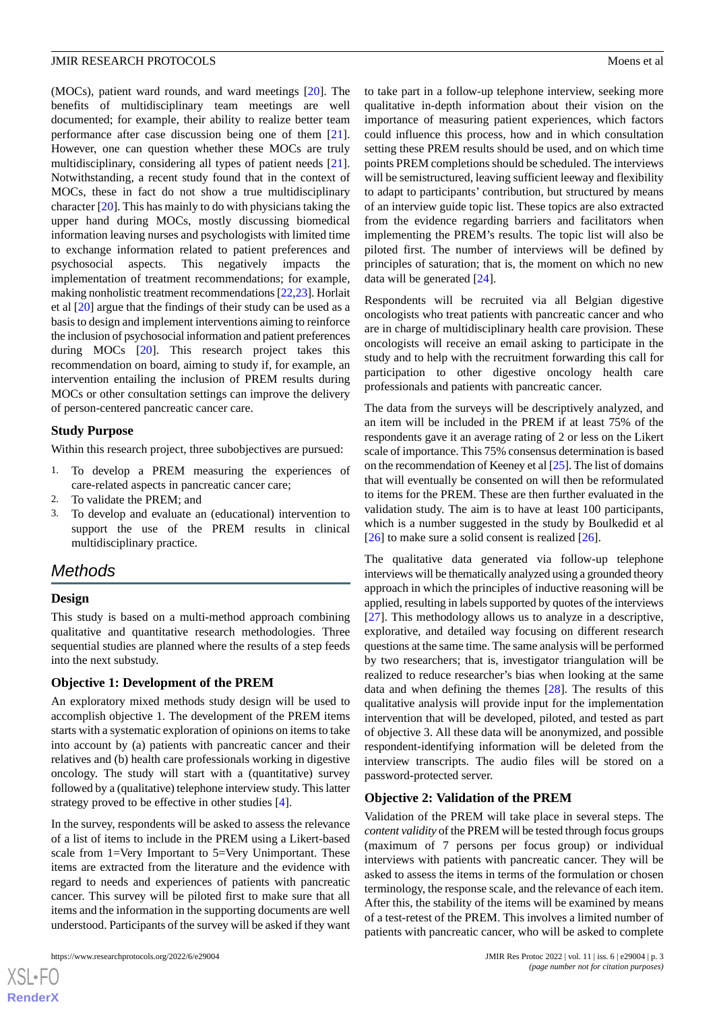(MOCs), patient ward rounds, and ward meetings [\[20](#page-6-1)]. The benefits of multidisciplinary team meetings are well documented; for example, their ability to realize better team performance after case discussion being one of them [[21\]](#page-6-2). However, one can question whether these MOCs are truly multidisciplinary, considering all types of patient needs [[21\]](#page-6-2). Notwithstanding, a recent study found that in the context of MOCs, these in fact do not show a true multidisciplinary character [\[20](#page-6-1)]. This has mainly to do with physicians taking the upper hand during MOCs, mostly discussing biomedical information leaving nurses and psychologists with limited time to exchange information related to patient preferences and psychosocial aspects. This negatively impacts the implementation of treatment recommendations; for example, making nonholistic treatment recommendations [\[22](#page-6-3)[,23](#page-6-4)]. Horlait et al [\[20](#page-6-1)] argue that the findings of their study can be used as a basis to design and implement interventions aiming to reinforce the inclusion of psychosocial information and patient preferences during MOCs [[20\]](#page-6-1). This research project takes this recommendation on board, aiming to study if, for example, an intervention entailing the inclusion of PREM results during MOCs or other consultation settings can improve the delivery of person-centered pancreatic cancer care.

# **Study Purpose**

Within this research project, three subobjectives are pursued:

- 1. To develop a PREM measuring the experiences of care-related aspects in pancreatic cancer care;
- 2. To validate the PREM; and
- 3. To develop and evaluate an (educational) intervention to support the use of the PREM results in clinical multidisciplinary practice.

# *Methods*

#### **Design**

This study is based on a multi-method approach combining qualitative and quantitative research methodologies. Three sequential studies are planned where the results of a step feeds into the next substudy.

#### **Objective 1: Development of the PREM**

An exploratory mixed methods study design will be used to accomplish objective 1. The development of the PREM items starts with a systematic exploration of opinions on items to take into account by (a) patients with pancreatic cancer and their relatives and (b) health care professionals working in digestive oncology. The study will start with a (quantitative) survey followed by a (qualitative) telephone interview study. This latter strategy proved to be effective in other studies [\[4\]](#page-5-3).

In the survey, respondents will be asked to assess the relevance of a list of items to include in the PREM using a Likert-based scale from 1=Very Important to 5=Very Unimportant. These items are extracted from the literature and the evidence with regard to needs and experiences of patients with pancreatic cancer. This survey will be piloted first to make sure that all items and the information in the supporting documents are well understood. Participants of the survey will be asked if they want

 $XS$  • FC **[RenderX](http://www.renderx.com/)** to take part in a follow-up telephone interview, seeking more qualitative in-depth information about their vision on the importance of measuring patient experiences, which factors could influence this process, how and in which consultation setting these PREM results should be used, and on which time points PREM completions should be scheduled. The interviews will be semistructured, leaving sufficient leeway and flexibility to adapt to participants' contribution, but structured by means of an interview guide topic list. These topics are also extracted from the evidence regarding barriers and facilitators when implementing the PREM's results. The topic list will also be piloted first. The number of interviews will be defined by principles of saturation; that is, the moment on which no new data will be generated [[24\]](#page-6-5).

Respondents will be recruited via all Belgian digestive oncologists who treat patients with pancreatic cancer and who are in charge of multidisciplinary health care provision. These oncologists will receive an email asking to participate in the study and to help with the recruitment forwarding this call for participation to other digestive oncology health care professionals and patients with pancreatic cancer.

The data from the surveys will be descriptively analyzed, and an item will be included in the PREM if at least 75% of the respondents gave it an average rating of 2 or less on the Likert scale of importance. This 75% consensus determination is based on the recommendation of Keeney et al [[25](#page-6-6)]. The list of domains that will eventually be consented on will then be reformulated to items for the PREM. These are then further evaluated in the validation study. The aim is to have at least 100 participants, which is a number suggested in the study by Boulkedid et al  $[26]$  $[26]$  to make sure a solid consent is realized  $[26]$ .

The qualitative data generated via follow-up telephone interviews will be thematically analyzed using a grounded theory approach in which the principles of inductive reasoning will be applied, resulting in labels supported by quotes of the interviews [[27\]](#page-6-8). This methodology allows us to analyze in a descriptive, explorative, and detailed way focusing on different research questions at the same time. The same analysis will be performed by two researchers; that is, investigator triangulation will be realized to reduce researcher's bias when looking at the same data and when defining the themes [[28\]](#page-6-9). The results of this qualitative analysis will provide input for the implementation intervention that will be developed, piloted, and tested as part of objective 3. All these data will be anonymized, and possible respondent-identifying information will be deleted from the interview transcripts. The audio files will be stored on a password-protected server.

#### **Objective 2: Validation of the PREM**

Validation of the PREM will take place in several steps. The *content validity* of the PREM will be tested through focus groups (maximum of 7 persons per focus group) or individual interviews with patients with pancreatic cancer. They will be asked to assess the items in terms of the formulation or chosen terminology, the response scale, and the relevance of each item. After this, the stability of the items will be examined by means of a test-retest of the PREM. This involves a limited number of patients with pancreatic cancer, who will be asked to complete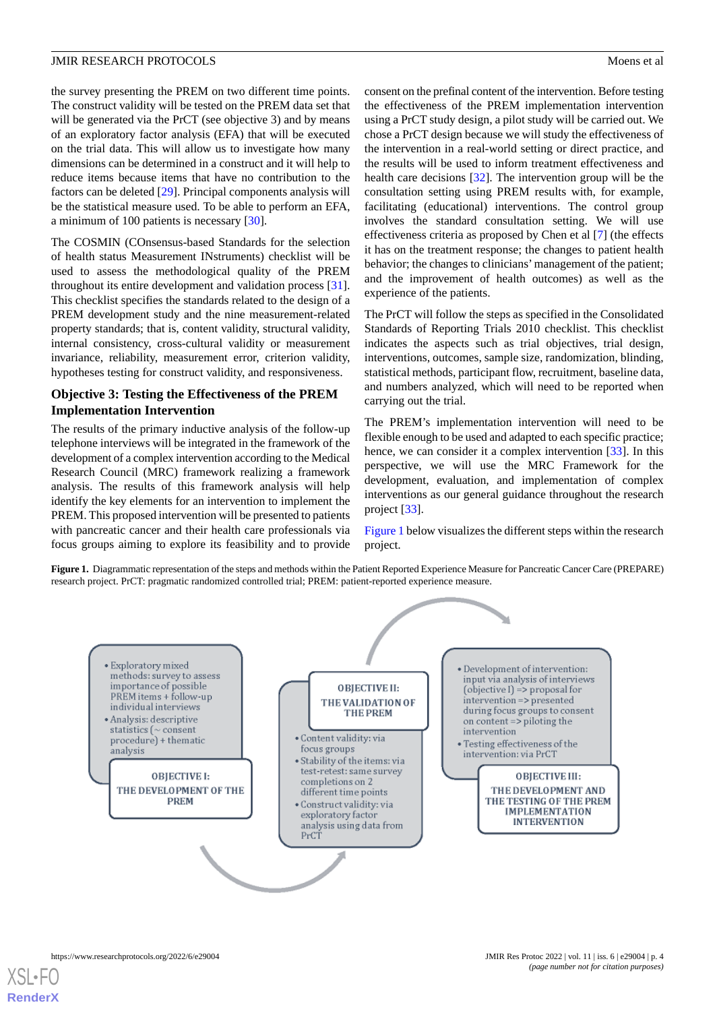the survey presenting the PREM on two different time points. The construct validity will be tested on the PREM data set that will be generated via the PrCT (see objective 3) and by means of an exploratory factor analysis (EFA) that will be executed on the trial data. This will allow us to investigate how many dimensions can be determined in a construct and it will help to reduce items because items that have no contribution to the factors can be deleted [\[29](#page-6-10)]. Principal components analysis will be the statistical measure used. To be able to perform an EFA, a minimum of 100 patients is necessary [[30\]](#page-6-11).

The COSMIN (COnsensus-based Standards for the selection of health status Measurement INstruments) checklist will be used to assess the methodological quality of the PREM throughout its entire development and validation process [[31\]](#page-6-12). This checklist specifies the standards related to the design of a PREM development study and the nine measurement-related property standards; that is, content validity, structural validity, internal consistency, cross-cultural validity or measurement invariance, reliability, measurement error, criterion validity, hypotheses testing for construct validity, and responsiveness.

# **Objective 3: Testing the Effectiveness of the PREM Implementation Intervention**

The results of the primary inductive analysis of the follow-up telephone interviews will be integrated in the framework of the development of a complex intervention according to the Medical Research Council (MRC) framework realizing a framework analysis. The results of this framework analysis will help identify the key elements for an intervention to implement the PREM. This proposed intervention will be presented to patients with pancreatic cancer and their health care professionals via focus groups aiming to explore its feasibility and to provide consent on the prefinal content of the intervention. Before testing the effectiveness of the PREM implementation intervention using a PrCT study design, a pilot study will be carried out. We chose a PrCT design because we will study the effectiveness of the intervention in a real-world setting or direct practice, and the results will be used to inform treatment effectiveness and health care decisions [\[32](#page-6-13)]. The intervention group will be the consultation setting using PREM results with, for example, facilitating (educational) interventions. The control group involves the standard consultation setting. We will use effectiveness criteria as proposed by Chen et al [[7](#page-5-6)] (the effects it has on the treatment response; the changes to patient health behavior; the changes to clinicians'management of the patient; and the improvement of health outcomes) as well as the experience of the patients.

The PrCT will follow the steps as specified in the Consolidated Standards of Reporting Trials 2010 checklist. This checklist indicates the aspects such as trial objectives, trial design, interventions, outcomes, sample size, randomization, blinding, statistical methods, participant flow, recruitment, baseline data, and numbers analyzed, which will need to be reported when carrying out the trial.

The PREM's implementation intervention will need to be flexible enough to be used and adapted to each specific practice; hence, we can consider it a complex intervention [\[33](#page-6-14)]. In this perspective, we will use the MRC Framework for the development, evaluation, and implementation of complex interventions as our general guidance throughout the research project [\[33](#page-6-14)].

[Figure 1](#page-3-0) below visualizes the different steps within the research project.

<span id="page-3-0"></span>**Figure 1.** Diagrammatic representation of the steps and methods within the Patient Reported Experience Measure for Pancreatic Cancer Care (PREPARE) research project. PrCT: pragmatic randomized controlled trial; PREM: patient-reported experience measure.

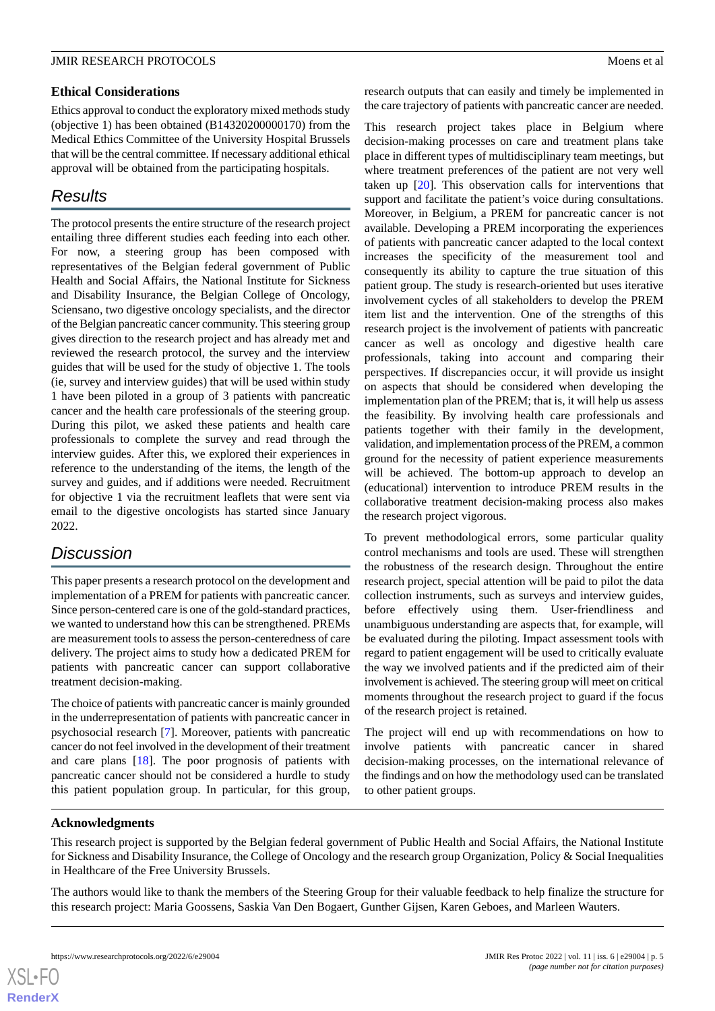# **Ethical Considerations**

Ethics approval to conduct the exploratory mixed methods study (objective 1) has been obtained (B14320200000170) from the Medical Ethics Committee of the University Hospital Brussels that will be the central committee. If necessary additional ethical approval will be obtained from the participating hospitals.

# *Results*

The protocol presents the entire structure of the research project entailing three different studies each feeding into each other. For now, a steering group has been composed with representatives of the Belgian federal government of Public Health and Social Affairs, the National Institute for Sickness and Disability Insurance, the Belgian College of Oncology, Sciensano, two digestive oncology specialists, and the director of the Belgian pancreatic cancer community. This steering group gives direction to the research project and has already met and reviewed the research protocol, the survey and the interview guides that will be used for the study of objective 1. The tools (ie, survey and interview guides) that will be used within study 1 have been piloted in a group of 3 patients with pancreatic cancer and the health care professionals of the steering group. During this pilot, we asked these patients and health care professionals to complete the survey and read through the interview guides. After this, we explored their experiences in reference to the understanding of the items, the length of the survey and guides, and if additions were needed. Recruitment for objective 1 via the recruitment leaflets that were sent via email to the digestive oncologists has started since January 2022.

# *Discussion*

This paper presents a research protocol on the development and implementation of a PREM for patients with pancreatic cancer. Since person-centered care is one of the gold-standard practices, we wanted to understand how this can be strengthened. PREMs are measurement tools to assess the person-centeredness of care delivery. The project aims to study how a dedicated PREM for patients with pancreatic cancer can support collaborative treatment decision-making.

The choice of patients with pancreatic cancer is mainly grounded in the underrepresentation of patients with pancreatic cancer in psychosocial research [\[7](#page-5-6)]. Moreover, patients with pancreatic cancer do not feel involved in the development of their treatment and care plans [[18\]](#page-5-14). The poor prognosis of patients with pancreatic cancer should not be considered a hurdle to study this patient population group. In particular, for this group,

research outputs that can easily and timely be implemented in the care trajectory of patients with pancreatic cancer are needed.

This research project takes place in Belgium where decision-making processes on care and treatment plans take place in different types of multidisciplinary team meetings, but where treatment preferences of the patient are not very well taken up [[20\]](#page-6-1). This observation calls for interventions that support and facilitate the patient's voice during consultations. Moreover, in Belgium, a PREM for pancreatic cancer is not available. Developing a PREM incorporating the experiences of patients with pancreatic cancer adapted to the local context increases the specificity of the measurement tool and consequently its ability to capture the true situation of this patient group. The study is research-oriented but uses iterative involvement cycles of all stakeholders to develop the PREM item list and the intervention. One of the strengths of this research project is the involvement of patients with pancreatic cancer as well as oncology and digestive health care professionals, taking into account and comparing their perspectives. If discrepancies occur, it will provide us insight on aspects that should be considered when developing the implementation plan of the PREM; that is, it will help us assess the feasibility. By involving health care professionals and patients together with their family in the development, validation, and implementation process of the PREM, a common ground for the necessity of patient experience measurements will be achieved. The bottom-up approach to develop an (educational) intervention to introduce PREM results in the collaborative treatment decision-making process also makes the research project vigorous.

To prevent methodological errors, some particular quality control mechanisms and tools are used. These will strengthen the robustness of the research design. Throughout the entire research project, special attention will be paid to pilot the data collection instruments, such as surveys and interview guides, before effectively using them. User-friendliness and unambiguous understanding are aspects that, for example, will be evaluated during the piloting. Impact assessment tools with regard to patient engagement will be used to critically evaluate the way we involved patients and if the predicted aim of their involvement is achieved. The steering group will meet on critical moments throughout the research project to guard if the focus of the research project is retained.

The project will end up with recommendations on how to involve patients with pancreatic cancer in shared decision-making processes, on the international relevance of the findings and on how the methodology used can be translated to other patient groups.

# **Acknowledgments**

This research project is supported by the Belgian federal government of Public Health and Social Affairs, the National Institute for Sickness and Disability Insurance, the College of Oncology and the research group Organization, Policy & Social Inequalities in Healthcare of the Free University Brussels.

The authors would like to thank the members of the Steering Group for their valuable feedback to help finalize the structure for this research project: Maria Goossens, Saskia Van Den Bogaert, Gunther Gijsen, Karen Geboes, and Marleen Wauters.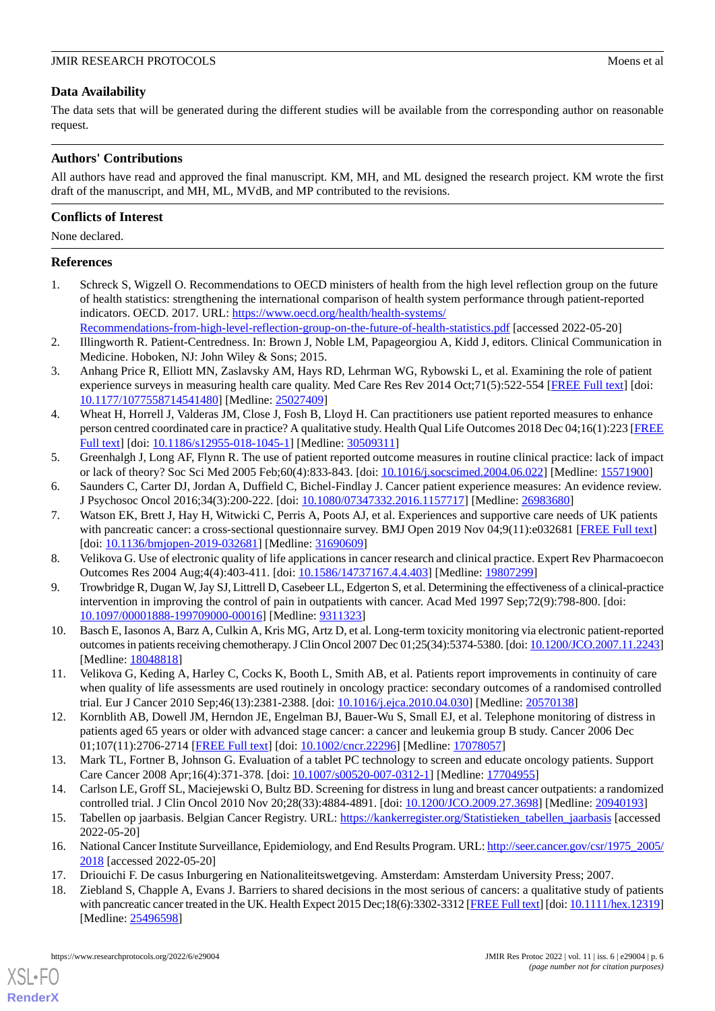# **Data Availability**

The data sets that will be generated during the different studies will be available from the corresponding author on reasonable request.

# **Authors' Contributions**

All authors have read and approved the final manuscript. KM, MH, and ML designed the research project. KM wrote the first draft of the manuscript, and MH, ML, MVdB, and MP contributed to the revisions.

# **Conflicts of Interest**

None declared.

# <span id="page-5-0"></span>**References**

- <span id="page-5-1"></span>1. Schreck S, Wigzell O. Recommendations to OECD ministers of health from the high level reflection group on the future of health statistics: strengthening the international comparison of health system performance through patient-reported indicators. OECD. 2017. URL: [https://www.oecd.org/health/health-systems/](https://www.oecd.org/health/health-systems/Recommendations-from-high-level-reflection-group-on-the-future-of-health-statistics.pdf) [Recommendations-from-high-level-reflection-group-on-the-future-of-health-statistics.pdf](https://www.oecd.org/health/health-systems/Recommendations-from-high-level-reflection-group-on-the-future-of-health-statistics.pdf) [accessed 2022-05-20]
- <span id="page-5-2"></span>2. Illingworth R. Patient-Centredness. In: Brown J, Noble LM, Papageorgiou A, Kidd J, editors. Clinical Communication in Medicine. Hoboken, NJ: John Wiley & Sons; 2015.
- <span id="page-5-3"></span>3. Anhang Price R, Elliott MN, Zaslavsky AM, Hays RD, Lehrman WG, Rybowski L, et al. Examining the role of patient experience surveys in measuring health care quality. Med Care Res Rev 2014 Oct;71(5):522-554 [[FREE Full text](http://europepmc.org/abstract/MED/25027409)] [doi: [10.1177/1077558714541480\]](http://dx.doi.org/10.1177/1077558714541480) [Medline: [25027409\]](http://www.ncbi.nlm.nih.gov/entrez/query.fcgi?cmd=Retrieve&db=PubMed&list_uids=25027409&dopt=Abstract)
- <span id="page-5-4"></span>4. Wheat H, Horrell J, Valderas JM, Close J, Fosh B, Lloyd H. Can practitioners use patient reported measures to enhance person centred coordinated care in practice? A qualitative study. Health Qual Life Outcomes 2018 Dec 04;16(1):223 [\[FREE](https://hqlo.biomedcentral.com/articles/10.1186/s12955-018-1045-1) [Full text\]](https://hqlo.biomedcentral.com/articles/10.1186/s12955-018-1045-1) [doi: [10.1186/s12955-018-1045-1](http://dx.doi.org/10.1186/s12955-018-1045-1)] [Medline: [30509311](http://www.ncbi.nlm.nih.gov/entrez/query.fcgi?cmd=Retrieve&db=PubMed&list_uids=30509311&dopt=Abstract)]
- <span id="page-5-6"></span><span id="page-5-5"></span>5. Greenhalgh J, Long AF, Flynn R. The use of patient reported outcome measures in routine clinical practice: lack of impact or lack of theory? Soc Sci Med 2005 Feb;60(4):833-843. [doi: [10.1016/j.socscimed.2004.06.022\]](http://dx.doi.org/10.1016/j.socscimed.2004.06.022) [Medline: [15571900](http://www.ncbi.nlm.nih.gov/entrez/query.fcgi?cmd=Retrieve&db=PubMed&list_uids=15571900&dopt=Abstract)]
- 6. Saunders C, Carter DJ, Jordan A, Duffield C, Bichel-Findlay J. Cancer patient experience measures: An evidence review. J Psychosoc Oncol 2016;34(3):200-222. [doi: [10.1080/07347332.2016.1157717\]](http://dx.doi.org/10.1080/07347332.2016.1157717) [Medline: [26983680\]](http://www.ncbi.nlm.nih.gov/entrez/query.fcgi?cmd=Retrieve&db=PubMed&list_uids=26983680&dopt=Abstract)
- <span id="page-5-7"></span>7. Watson EK, Brett J, Hay H, Witwicki C, Perris A, Poots AJ, et al. Experiences and supportive care needs of UK patients with pancreatic cancer: a cross-sectional questionnaire survey. BMJ Open 2019 Nov 04;9(11):e032681 [\[FREE Full text\]](https://bmjopen.bmj.com/lookup/pmidlookup?view=long&pmid=31690609) [doi: [10.1136/bmjopen-2019-032681\]](http://dx.doi.org/10.1136/bmjopen-2019-032681) [Medline: [31690609\]](http://www.ncbi.nlm.nih.gov/entrez/query.fcgi?cmd=Retrieve&db=PubMed&list_uids=31690609&dopt=Abstract)
- 8. Velikova G. Use of electronic quality of life applications in cancer research and clinical practice. Expert Rev Pharmacoecon Outcomes Res 2004 Aug;4(4):403-411. [doi: [10.1586/14737167.4.4.403](http://dx.doi.org/10.1586/14737167.4.4.403)] [Medline: [19807299](http://www.ncbi.nlm.nih.gov/entrez/query.fcgi?cmd=Retrieve&db=PubMed&list_uids=19807299&dopt=Abstract)]
- <span id="page-5-8"></span>9. Trowbridge R, Dugan W, Jay SJ, Littrell D, Casebeer LL, Edgerton S, et al. Determining the effectiveness of a clinical-practice intervention in improving the control of pain in outpatients with cancer. Acad Med 1997 Sep;72(9):798-800. [doi: [10.1097/00001888-199709000-00016](http://dx.doi.org/10.1097/00001888-199709000-00016)] [Medline: [9311323](http://www.ncbi.nlm.nih.gov/entrez/query.fcgi?cmd=Retrieve&db=PubMed&list_uids=9311323&dopt=Abstract)]
- <span id="page-5-9"></span>10. Basch E, Iasonos A, Barz A, Culkin A, Kris MG, Artz D, et al. Long-term toxicity monitoring via electronic patient-reported outcomes in patients receiving chemotherapy. J Clin Oncol 2007 Dec 01;25(34):5374-5380. [doi: [10.1200/JCO.2007.11.2243\]](http://dx.doi.org/10.1200/JCO.2007.11.2243) [Medline: [18048818](http://www.ncbi.nlm.nih.gov/entrez/query.fcgi?cmd=Retrieve&db=PubMed&list_uids=18048818&dopt=Abstract)]
- 11. Velikova G, Keding A, Harley C, Cocks K, Booth L, Smith AB, et al. Patients report improvements in continuity of care when quality of life assessments are used routinely in oncology practice: secondary outcomes of a randomised controlled trial. Eur J Cancer 2010 Sep;46(13):2381-2388. [doi: [10.1016/j.ejca.2010.04.030](http://dx.doi.org/10.1016/j.ejca.2010.04.030)] [Medline: [20570138](http://www.ncbi.nlm.nih.gov/entrez/query.fcgi?cmd=Retrieve&db=PubMed&list_uids=20570138&dopt=Abstract)]
- <span id="page-5-11"></span><span id="page-5-10"></span>12. Kornblith AB, Dowell JM, Herndon JE, Engelman BJ, Bauer-Wu S, Small EJ, et al. Telephone monitoring of distress in patients aged 65 years or older with advanced stage cancer: a cancer and leukemia group B study. Cancer 2006 Dec 01;107(11):2706-2714 [[FREE Full text](https://doi.org/10.1002/cncr.22296)] [doi: [10.1002/cncr.22296\]](http://dx.doi.org/10.1002/cncr.22296) [Medline: [17078057\]](http://www.ncbi.nlm.nih.gov/entrez/query.fcgi?cmd=Retrieve&db=PubMed&list_uids=17078057&dopt=Abstract)
- <span id="page-5-12"></span>13. Mark TL, Fortner B, Johnson G. Evaluation of a tablet PC technology to screen and educate oncology patients. Support Care Cancer 2008 Apr;16(4):371-378. [doi: [10.1007/s00520-007-0312-1\]](http://dx.doi.org/10.1007/s00520-007-0312-1) [Medline: [17704955\]](http://www.ncbi.nlm.nih.gov/entrez/query.fcgi?cmd=Retrieve&db=PubMed&list_uids=17704955&dopt=Abstract)
- <span id="page-5-14"></span><span id="page-5-13"></span>14. Carlson LE, Groff SL, Maciejewski O, Bultz BD. Screening for distress in lung and breast cancer outpatients: a randomized controlled trial. J Clin Oncol 2010 Nov 20;28(33):4884-4891. [doi: [10.1200/JCO.2009.27.3698](http://dx.doi.org/10.1200/JCO.2009.27.3698)] [Medline: [20940193](http://www.ncbi.nlm.nih.gov/entrez/query.fcgi?cmd=Retrieve&db=PubMed&list_uids=20940193&dopt=Abstract)]
- 15. Tabellen op jaarbasis. Belgian Cancer Registry. URL: [https://kankerregister.org/Statistieken\\_tabellen\\_jaarbasis](https://kankerregister.org/Statistieken_tabellen_jaarbasis) [accessed] 2022-05-20]
- 16. National Cancer Institute Surveillance, Epidemiology, and End Results Program. URL: [http://seer.cancer.gov/csr/1975\\_2005/](http://seer.cancer.gov/csr/1975_2005/2018) [2018](http://seer.cancer.gov/csr/1975_2005/2018) [accessed 2022-05-20]
- 17. Driouichi F. De casus Inburgering en Nationaliteitswetgeving. Amsterdam: Amsterdam University Press; 2007.
- 18. Ziebland S, Chapple A, Evans J. Barriers to shared decisions in the most serious of cancers: a qualitative study of patients with pancreatic cancer treated in the UK. Health Expect 2015 Dec;18(6):3302-3312 [[FREE Full text](https://doi.org/10.1111/hex.12319)] [doi: [10.1111/hex.12319\]](http://dx.doi.org/10.1111/hex.12319) [Medline: [25496598](http://www.ncbi.nlm.nih.gov/entrez/query.fcgi?cmd=Retrieve&db=PubMed&list_uids=25496598&dopt=Abstract)]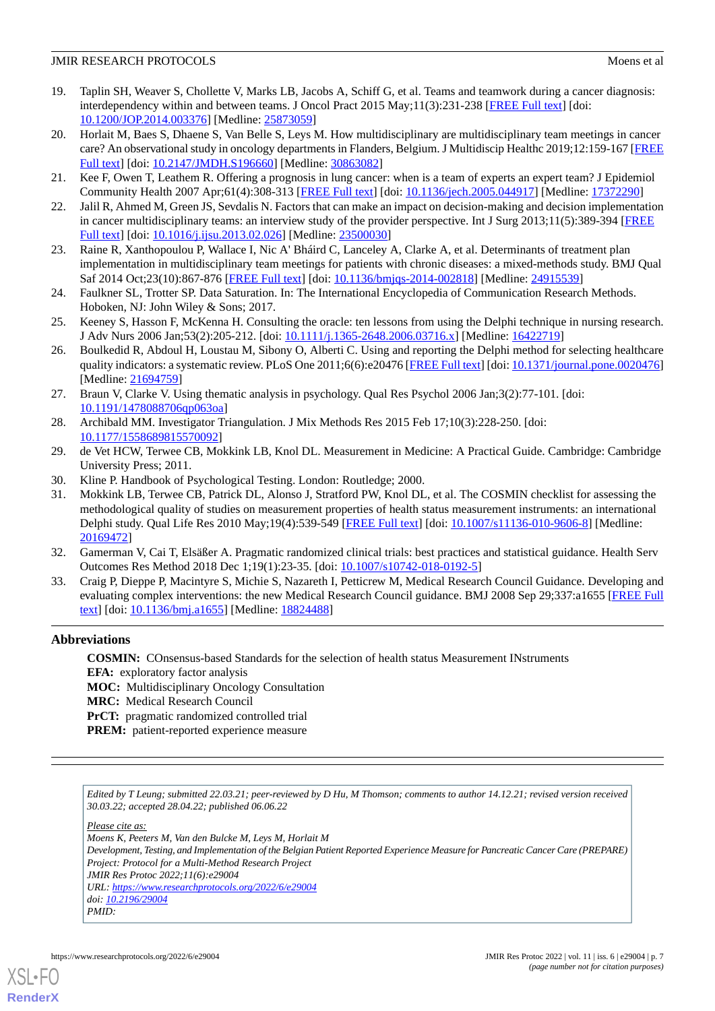- <span id="page-6-0"></span>19. Taplin SH, Weaver S, Chollette V, Marks LB, Jacobs A, Schiff G, et al. Teams and teamwork during a cancer diagnosis: interdependency within and between teams. J Oncol Pract 2015 May;11(3):231-238 [[FREE Full text](http://europepmc.org/abstract/MED/25873059)] [doi: [10.1200/JOP.2014.003376](http://dx.doi.org/10.1200/JOP.2014.003376)] [Medline: [25873059](http://www.ncbi.nlm.nih.gov/entrez/query.fcgi?cmd=Retrieve&db=PubMed&list_uids=25873059&dopt=Abstract)]
- <span id="page-6-1"></span>20. Horlait M, Baes S, Dhaene S, Van Belle S, Leys M. How multidisciplinary are multidisciplinary team meetings in cancer care? An observational study in oncology departments in Flanders, Belgium. J Multidiscip Healthc 2019;12:159-167 [\[FREE](https://dx.doi.org/10.2147/JMDH.S196660) [Full text\]](https://dx.doi.org/10.2147/JMDH.S196660) [doi: [10.2147/JMDH.S196660\]](http://dx.doi.org/10.2147/JMDH.S196660) [Medline: [30863082\]](http://www.ncbi.nlm.nih.gov/entrez/query.fcgi?cmd=Retrieve&db=PubMed&list_uids=30863082&dopt=Abstract)
- <span id="page-6-3"></span><span id="page-6-2"></span>21. Kee F, Owen T, Leathem R. Offering a prognosis in lung cancer: when is a team of experts an expert team? J Epidemiol Community Health 2007 Apr;61(4):308-313 [\[FREE Full text\]](http://europepmc.org/abstract/MED/17372290) [doi: [10.1136/jech.2005.044917\]](http://dx.doi.org/10.1136/jech.2005.044917) [Medline: [17372290\]](http://www.ncbi.nlm.nih.gov/entrez/query.fcgi?cmd=Retrieve&db=PubMed&list_uids=17372290&dopt=Abstract)
- <span id="page-6-4"></span>22. Jalil R, Ahmed M, Green JS, Sevdalis N. Factors that can make an impact on decision-making and decision implementation in cancer multidisciplinary teams: an interview study of the provider perspective. Int J Surg 2013;11(5):389-394 [\[FREE](https://linkinghub.elsevier.com/retrieve/pii/S1743-9191(13)00066-6) [Full text\]](https://linkinghub.elsevier.com/retrieve/pii/S1743-9191(13)00066-6) [doi: [10.1016/j.ijsu.2013.02.026\]](http://dx.doi.org/10.1016/j.ijsu.2013.02.026) [Medline: [23500030](http://www.ncbi.nlm.nih.gov/entrez/query.fcgi?cmd=Retrieve&db=PubMed&list_uids=23500030&dopt=Abstract)]
- <span id="page-6-5"></span>23. Raine R, Xanthopoulou P, Wallace I, Nic A' Bháird C, Lanceley A, Clarke A, et al. Determinants of treatment plan implementation in multidisciplinary team meetings for patients with chronic diseases: a mixed-methods study. BMJ Qual Saf 2014 Oct;23(10):867-876 [[FREE Full text](http://qualitysafety.bmj.com/lookup/pmidlookup?view=long&pmid=24915539)] [doi: [10.1136/bmjqs-2014-002818\]](http://dx.doi.org/10.1136/bmjqs-2014-002818) [Medline: [24915539](http://www.ncbi.nlm.nih.gov/entrez/query.fcgi?cmd=Retrieve&db=PubMed&list_uids=24915539&dopt=Abstract)]
- <span id="page-6-6"></span>24. Faulkner SL, Trotter SP. Data Saturation. In: The International Encyclopedia of Communication Research Methods. Hoboken, NJ: John Wiley & Sons; 2017.
- <span id="page-6-7"></span>25. Keeney S, Hasson F, McKenna H. Consulting the oracle: ten lessons from using the Delphi technique in nursing research. J Adv Nurs 2006 Jan;53(2):205-212. [doi: [10.1111/j.1365-2648.2006.03716.x\]](http://dx.doi.org/10.1111/j.1365-2648.2006.03716.x) [Medline: [16422719](http://www.ncbi.nlm.nih.gov/entrez/query.fcgi?cmd=Retrieve&db=PubMed&list_uids=16422719&dopt=Abstract)]
- <span id="page-6-8"></span>26. Boulkedid R, Abdoul H, Loustau M, Sibony O, Alberti C. Using and reporting the Delphi method for selecting healthcare quality indicators: a systematic review. PLoS One 2011;6(6):e20476 [\[FREE Full text](https://dx.plos.org/10.1371/journal.pone.0020476)] [doi: [10.1371/journal.pone.0020476](http://dx.doi.org/10.1371/journal.pone.0020476)] [Medline: [21694759](http://www.ncbi.nlm.nih.gov/entrez/query.fcgi?cmd=Retrieve&db=PubMed&list_uids=21694759&dopt=Abstract)]
- <span id="page-6-10"></span><span id="page-6-9"></span>27. Braun V, Clarke V. Using thematic analysis in psychology. Qual Res Psychol 2006 Jan;3(2):77-101. [doi: [10.1191/1478088706qp063oa](http://dx.doi.org/10.1191/1478088706qp063oa)]
- <span id="page-6-11"></span>28. Archibald MM. Investigator Triangulation. J Mix Methods Res 2015 Feb 17;10(3):228-250. [doi: [10.1177/1558689815570092\]](http://dx.doi.org/10.1177/1558689815570092)
- <span id="page-6-12"></span>29. de Vet HCW, Terwee CB, Mokkink LB, Knol DL. Measurement in Medicine: A Practical Guide. Cambridge: Cambridge University Press; 2011.
- 30. Kline P. Handbook of Psychological Testing. London: Routledge; 2000.
- <span id="page-6-14"></span><span id="page-6-13"></span>31. Mokkink LB, Terwee CB, Patrick DL, Alonso J, Stratford PW, Knol DL, et al. The COSMIN checklist for assessing the methodological quality of studies on measurement properties of health status measurement instruments: an international Delphi study. Qual Life Res 2010 May;19(4):539-549 [\[FREE Full text](http://europepmc.org/abstract/MED/20169472)] [doi: [10.1007/s11136-010-9606-8\]](http://dx.doi.org/10.1007/s11136-010-9606-8) [Medline: [20169472](http://www.ncbi.nlm.nih.gov/entrez/query.fcgi?cmd=Retrieve&db=PubMed&list_uids=20169472&dopt=Abstract)]
- 32. Gamerman V, Cai T, Elsäßer A. Pragmatic randomized clinical trials: best practices and statistical guidance. Health Serv Outcomes Res Method 2018 Dec 1;19(1):23-35. [doi: [10.1007/s10742-018-0192-5\]](http://dx.doi.org/10.1007/s10742-018-0192-5)
- 33. Craig P, Dieppe P, Macintyre S, Michie S, Nazareth I, Petticrew M, Medical Research Council Guidance. Developing and evaluating complex interventions: the new Medical Research Council guidance. BMJ 2008 Sep 29;337:a1655 [[FREE Full](http://europepmc.org/abstract/MED/18824488) [text](http://europepmc.org/abstract/MED/18824488)] [doi: [10.1136/bmj.a1655](http://dx.doi.org/10.1136/bmj.a1655)] [Medline: [18824488](http://www.ncbi.nlm.nih.gov/entrez/query.fcgi?cmd=Retrieve&db=PubMed&list_uids=18824488&dopt=Abstract)]

# **Abbreviations**

**COSMIN:** COnsensus-based Standards for the selection of health status Measurement INstruments **EFA:** exploratory factor analysis

**MOC:** Multidisciplinary Oncology Consultation

**MRC:** Medical Research Council

**PrCT:** pragmatic randomized controlled trial

**PREM:** patient-reported experience measure

*Edited by T Leung; submitted 22.03.21; peer-reviewed by D Hu, M Thomson; comments to author 14.12.21; revised version received 30.03.22; accepted 28.04.22; published 06.06.22*

*Please cite as:*

*Moens K, Peeters M, Van den Bulcke M, Leys M, Horlait M Development, Testing, and Implementation of the Belgian Patient Reported Experience Measure for Pancreatic Cancer Care (PREPARE) Project: Protocol for a Multi-Method Research Project JMIR Res Protoc 2022;11(6):e29004 URL: <https://www.researchprotocols.org/2022/6/e29004> doi: [10.2196/29004](http://dx.doi.org/10.2196/29004) PMID:*